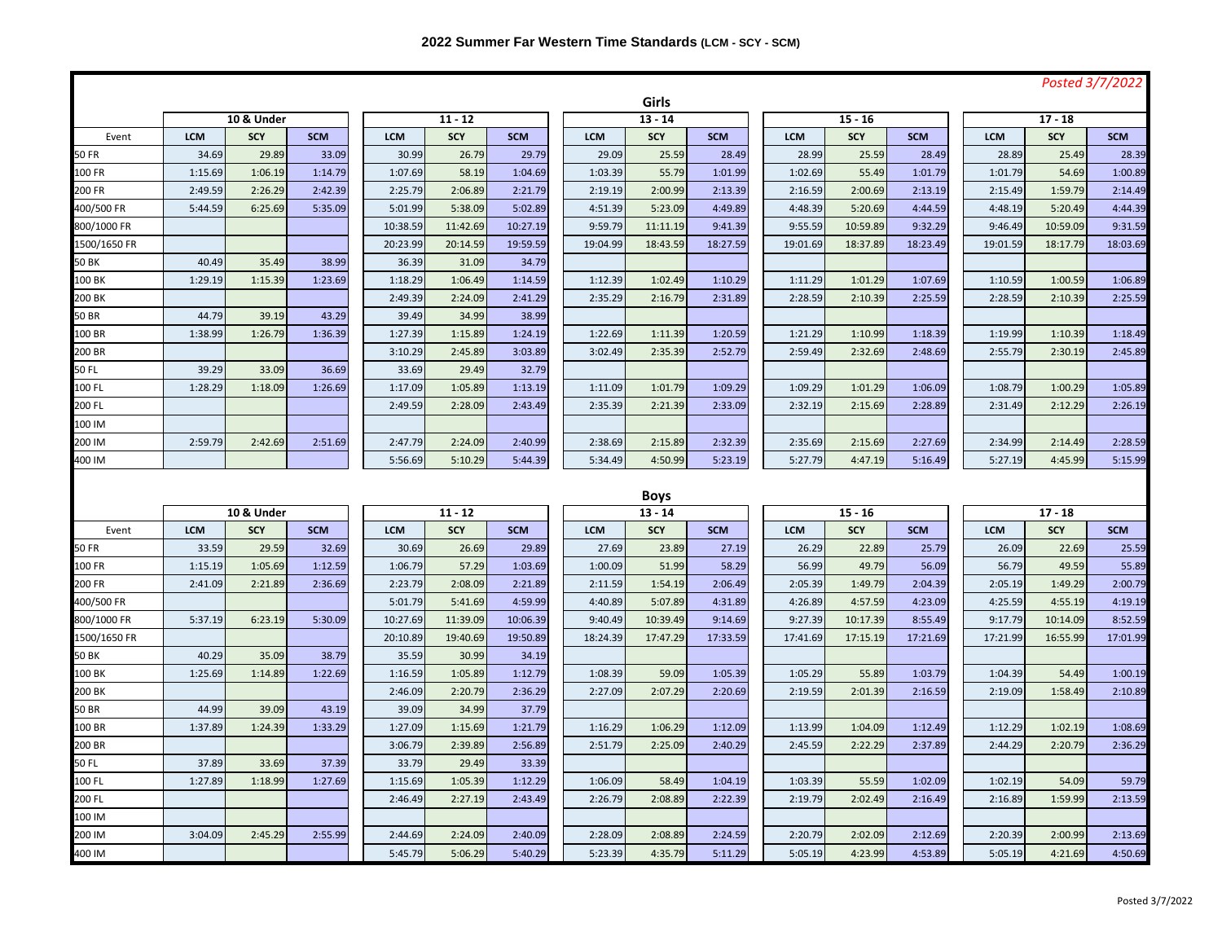|              |            |            |            |            |            |            |            |             |            |            |            |            |            |            | Posted 3/7/2022 |  |
|--------------|------------|------------|------------|------------|------------|------------|------------|-------------|------------|------------|------------|------------|------------|------------|-----------------|--|
|              |            |            |            | Girls      |            |            |            |             |            |            |            |            |            |            |                 |  |
|              | 10 & Under |            |            | $11 - 12$  |            |            | $13 - 14$  |             |            | $15 - 16$  |            |            | $17 - 18$  |            |                 |  |
| Event        | <b>LCM</b> | SCY        | <b>SCM</b> | <b>LCM</b> | <b>SCY</b> | <b>SCM</b> | <b>LCM</b> | <b>SCY</b>  | <b>SCM</b> | <b>LCM</b> | <b>SCY</b> | <b>SCM</b> | <b>LCM</b> | <b>SCY</b> | <b>SCM</b>      |  |
| 50 FR        | 34.69      | 29.89      | 33.09      | 30.99      | 26.79      | 29.79      | 29.09      | 25.59       | 28.49      | 28.99      | 25.59      | 28.49      | 28.89      | 25.49      | 28.39           |  |
| 100 FR       | 1:15.69    | 1:06.19    | 1:14.79    | 1:07.69    | 58.19      | 1:04.69    | 1:03.39    | 55.79       | 1:01.99    | 1:02.69    | 55.49      | 1:01.79    | 1:01.79    | 54.69      | 1:00.89         |  |
| 200 FR       | 2:49.59    | 2:26.29    | 2:42.39    | 2:25.79    | 2:06.89    | 2:21.79    | 2:19.19    | 2:00.99     | 2:13.39    | 2:16.59    | 2:00.69    | 2:13.19    | 2:15.49    | 1:59.79    | 2:14.49         |  |
| 400/500 FR   | 5:44.59    | 6:25.69    | 5:35.09    | 5:01.99    | 5:38.09    | 5:02.89    | 4:51.39    | 5:23.09     | 4:49.89    | 4:48.39    | 5:20.69    | 4:44.59    | 4:48.19    | 5:20.49    | 4:44.39         |  |
| 800/1000 FR  |            |            |            | 10:38.59   | 11:42.69   | 10:27.19   | 9:59.79    | 11:11.19    | 9:41.39    | 9:55.59    | 10:59.89   | 9:32.29    | 9:46.49    | 10:59.09   | 9:31.59         |  |
| 1500/1650 FR |            |            |            | 20:23.99   | 20:14.59   | 19:59.59   | 19:04.99   | 18:43.59    | 18:27.59   | 19:01.69   | 18:37.89   | 18:23.49   | 19:01.59   | 18:17.79   | 18:03.69        |  |
| 50 BK        | 40.49      | 35.49      | 38.99      | 36.39      | 31.09      | 34.79      |            |             |            |            |            |            |            |            |                 |  |
| 100 BK       | 1:29.19    | 1:15.39    | 1:23.69    | 1:18.29    | 1:06.49    | 1:14.59    | 1:12.39    | 1:02.49     | 1:10.29    | 1:11.29    | 1:01.29    | 1:07.69    | 1:10.59    | 1:00.59    | 1:06.89         |  |
| 200 BK       |            |            |            | 2:49.39    | 2:24.09    | 2:41.29    | 2:35.29    | 2:16.79     | 2:31.89    | 2:28.59    | 2:10.39    | 2:25.59    | 2:28.59    | 2:10.39    | 2:25.59         |  |
| 50 BR        | 44.79      | 39.19      | 43.29      | 39.49      | 34.99      | 38.99      |            |             |            |            |            |            |            |            |                 |  |
| 100 BR       | 1:38.99    | 1:26.79    | 1:36.39    | 1:27.39    | 1:15.89    | 1:24.19    | 1:22.69    | 1:11.39     | 1:20.59    | 1:21.29    | 1:10.99    | 1:18.39    | 1:19.99    | 1:10.39    | 1:18.49         |  |
| 200 BR       |            |            |            | 3:10.29    | 2:45.89    | 3:03.89    | 3:02.49    | 2:35.39     | 2:52.79    | 2:59.49    | 2:32.69    | 2:48.69    | 2:55.79    | 2:30.19    | 2:45.89         |  |
| 50 FL        | 39.29      | 33.09      | 36.69      | 33.69      | 29.49      | 32.79      |            |             |            |            |            |            |            |            |                 |  |
| 100 FL       | 1:28.29    | 1:18.09    | 1:26.69    | 1:17.09    | 1:05.89    | 1:13.19    | 1:11.09    | 1:01.79     | 1:09.29    | 1:09.29    | 1:01.29    | 1:06.09    | 1:08.79    | 1:00.29    | 1:05.89         |  |
| 200 FL       |            |            |            | 2:49.59    | 2:28.09    | 2:43.49    | 2:35.39    | 2:21.39     | 2:33.09    | 2:32.19    | 2:15.69    | 2:28.89    | 2:31.49    | 2:12.29    | 2:26.19         |  |
| 100 IM       |            |            |            |            |            |            |            |             |            |            |            |            |            |            |                 |  |
| 200 IM       | 2:59.79    | 2:42.69    | 2:51.69    | 2:47.79    | 2:24.09    | 2:40.99    | 2:38.69    | 2:15.89     | 2:32.39    | 2:35.69    | 2:15.69    | 2:27.69    | 2:34.99    | 2:14.49    | 2:28.59         |  |
| 400 IM       |            |            |            | 5:56.69    | 5:10.29    | 5:44.39    | 5:34.49    | 4:50.99     | 5:23.19    | 5:27.79    | 4:47.19    | 5:16.49    | 5:27.19    | 4:45.99    | 5:15.99         |  |
|              |            |            |            |            |            |            |            |             |            |            |            |            |            |            |                 |  |
|              |            |            |            |            |            |            |            | <b>Boys</b> |            |            |            |            |            |            |                 |  |
|              | 10 & Under |            |            | $11 - 12$  |            |            |            | $13 - 14$   |            |            | $15 - 16$  |            |            | $17 - 18$  |                 |  |
| Event        | <b>LCM</b> | <b>SCY</b> | <b>SCM</b> | <b>LCM</b> | <b>SCY</b> | <b>SCM</b> | <b>LCM</b> | <b>SCY</b>  | <b>SCM</b> | LCM        | <b>SCY</b> | <b>SCM</b> | <b>LCM</b> | <b>SCY</b> | <b>SCM</b>      |  |
| 50 FR        | 33.59      | 29.59      | 32.69      | 30.69      | 26.69      | 29.89      | 27.69      | 23.89       | 27.19      | 26.29      | 22.89      | 25.79      | 26.09      | 22.69      | 25.59           |  |
| 100 FR       | 1:15.19    | 1:05.69    | 1:12.59    | 1:06.79    | 57.29      | 1:03.69    | 1:00.09    | 51.99       | 58.29      | 56.99      | 49.79      | 56.09      | 56.79      | 49.59      | 55.89           |  |
| 200 FR       | 2:41.09    | 2:21.89    | 2:36.69    | 2:23.79    | 2:08.09    | 2:21.89    | 2:11.59    | 1:54.19     | 2:06.49    | 2:05.39    | 1:49.79    | 2:04.39    | 2:05.19    | 1:49.29    | 2:00.79         |  |
| 400/500 FR   |            |            |            | 5:01.79    | 5:41.69    | 4:59.99    | 4:40.89    | 5:07.89     | 4:31.89    | 4:26.89    | 4:57.59    | 4:23.09    | 4:25.59    | 4:55.19    | 4:19.19         |  |
| 800/1000 FR  | 5:37.19    | 6:23.19    | 5:30.09    | 10:27.69   | 11:39.09   | 10:06.39   | 9:40.49    | 10:39.49    | 9:14.69    | 9:27.39    | 10:17.39   | 8:55.49    | 9:17.79    | 10:14.09   | 8:52.59         |  |
| 1500/1650 FR |            |            |            | 20:10.89   | 19:40.69   | 19:50.89   | 18:24.39   | 17:47.29    | 17:33.59   | 17:41.69   | 17:15.19   | 17:21.69   | 17:21.99   | 16:55.99   | 17:01.99        |  |
| 50 BK        | 40.29      | 35.09      | 38.79      | 35.59      | 30.99      | 34.19      |            |             |            |            |            |            |            |            |                 |  |
| 100 BK       | 1:25.69    | 1:14.89    | 1:22.69    | 1:16.59    | 1:05.89    | 1:12.79    | 1:08.39    | 59.09       | 1:05.39    | 1:05.29    | 55.89      | 1:03.79    | 1:04.39    | 54.49      | 1:00.19         |  |
| 200 BK       |            |            |            | 2:46.09    | 2:20.79    | 2:36.29    | 2:27.09    | 2:07.29     | 2:20.69    | 2:19.59    | 2:01.39    | 2:16.59    | 2:19.09    | 1:58.49    | 2:10.89         |  |
| 50 BR        | 44.99      | 39.09      | 43.19      | 39.09      | 34.99      | 37.79      |            |             |            |            |            |            |            |            |                 |  |
| 100 BR       | 1:37.89    | 1:24.39    | 1:33.29    | 1:27.09    | 1:15.69    | 1:21.79    | 1:16.29    | 1:06.29     | 1:12.09    | 1:13.99    | 1:04.09    | 1:12.49    | 1:12.29    | 1:02.19    | 1:08.69         |  |
| 200 BR       |            |            |            | 3:06.79    | 2:39.89    | 2:56.89    | 2:51.79    | 2:25.09     | 2:40.29    | 2:45.59    | 2:22.29    | 2:37.89    | 2:44.29    | 2:20.79    | 2:36.29         |  |
| 50 FL        | 37.89      | 33.69      | 37.39      | 33.79      | 29.49      | 33.39      |            |             |            |            |            |            |            |            |                 |  |
| 100 FL       | 1:27.89    | 1:18.99    | 1:27.69    | 1:15.69    | 1:05.39    | 1:12.29    | 1:06.09    | 58.49       | 1:04.19    | 1:03.39    | 55.59      | 1:02.09    | 1:02.19    | 54.09      | 59.79           |  |
| 200 FL       |            |            |            | 2:46.49    | 2:27.19    | 2:43.49    | 2:26.79    | 2:08.89     | 2:22.39    | 2:19.79    | 2:02.49    | 2:16.49    | 2:16.89    | 1:59.99    | 2:13.59         |  |
|              |            |            |            |            |            |            |            |             |            |            |            |            |            |            |                 |  |
| 100 IM       |            |            |            |            |            |            |            |             |            |            |            |            |            |            |                 |  |
| 200 IM       | 3:04.09    | 2:45.29    | 2:55.99    | 2:44.69    | 2:24.09    | 2:40.09    | 2:28.09    | 2:08.89     | 2:24.59    | 2:20.79    | 2:02.09    | 2:12.69    | 2:20.39    | 2:00.99    | 2:13.69         |  |